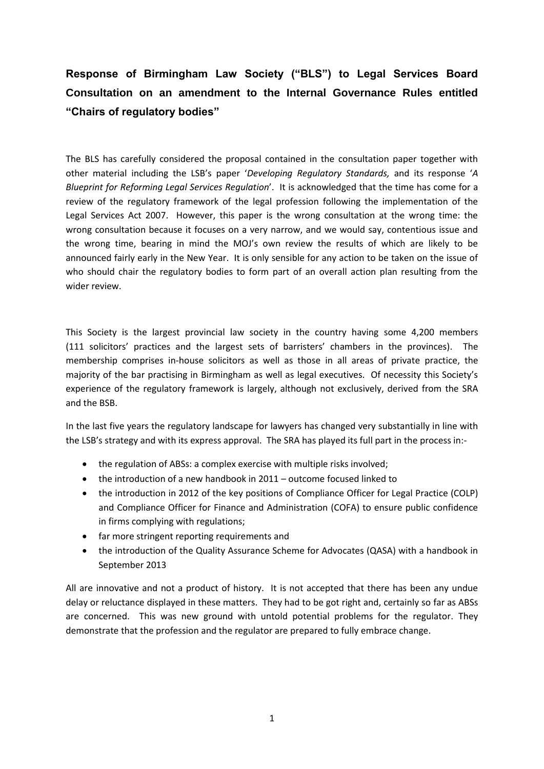## **Response of Birmingham Law Society ("BLS") to Legal Services Board Consultation on an amendment to the Internal Governance Rules entitled "Chairs of regulatory bodies"**

The BLS has carefully considered the proposal contained in the consultation paper together with other material including the LSB's paper '*Developing Regulatory Standards,* and its response '*A Blueprint for Reforming Legal Services Regulation*'. It is acknowledged that the time has come for a review of the regulatory framework of the legal profession following the implementation of the Legal Services Act 2007. However, this paper is the wrong consultation at the wrong time: the wrong consultation because it focuses on a very narrow, and we would say, contentious issue and the wrong time, bearing in mind the MOJ's own review the results of which are likely to be announced fairly early in the New Year. It is only sensible for any action to be taken on the issue of who should chair the regulatory bodies to form part of an overall action plan resulting from the wider review.

This Society is the largest provincial law society in the country having some 4,200 members (111 solicitors' practices and the largest sets of barristers' chambers in the provinces). The membership comprises in-house solicitors as well as those in all areas of private practice, the majority of the bar practising in Birmingham as well as legal executives. Of necessity this Society's experience of the regulatory framework is largely, although not exclusively, derived from the SRA and the BSB.

In the last five years the regulatory landscape for lawyers has changed very substantially in line with the LSB's strategy and with its express approval. The SRA has played its full part in the process in:-

- the regulation of ABSs: a complex exercise with multiple risks involved;
- the introduction of a new handbook in 2011 outcome focused linked to
- the introduction in 2012 of the key positions of Compliance Officer for Legal Practice (COLP) and Compliance Officer for Finance and Administration (COFA) to ensure public confidence in firms complying with regulations;
- far more stringent reporting requirements and
- the introduction of the Quality Assurance Scheme for Advocates (QASA) with a handbook in September 2013

All are innovative and not a product of history. It is not accepted that there has been any undue delay or reluctance displayed in these matters. They had to be got right and, certainly so far as ABSs are concerned. This was new ground with untold potential problems for the regulator. They demonstrate that the profession and the regulator are prepared to fully embrace change.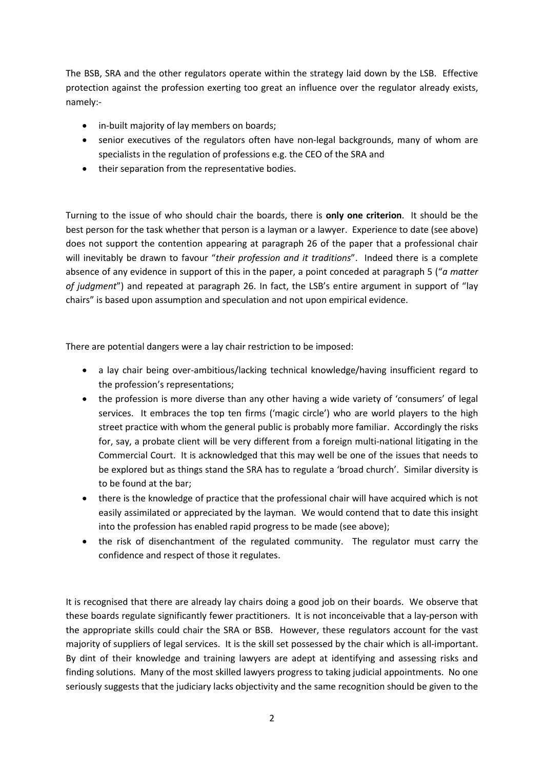The BSB, SRA and the other regulators operate within the strategy laid down by the LSB. Effective protection against the profession exerting too great an influence over the regulator already exists, namely:-

- in-built majority of lay members on boards;
- senior executives of the regulators often have non-legal backgrounds, many of whom are specialists in the regulation of professions e.g. the CEO of the SRA and
- their separation from the representative bodies.

Turning to the issue of who should chair the boards, there is **only one criterion**. It should be the best person for the task whether that person is a layman or a lawyer. Experience to date (see above) does not support the contention appearing at paragraph 26 of the paper that a professional chair will inevitably be drawn to favour "*their profession and it traditions*". Indeed there is a complete absence of any evidence in support of this in the paper, a point conceded at paragraph 5 ("*a matter of judgment*") and repeated at paragraph 26. In fact, the LSB's entire argument in support of "lay chairs" is based upon assumption and speculation and not upon empirical evidence.

There are potential dangers were a lay chair restriction to be imposed:

- a lay chair being over-ambitious/lacking technical knowledge/having insufficient regard to the profession's representations;
- the profession is more diverse than any other having a wide variety of 'consumers' of legal services. It embraces the top ten firms ('magic circle') who are world players to the high street practice with whom the general public is probably more familiar. Accordingly the risks for, say, a probate client will be very different from a foreign multi-national litigating in the Commercial Court. It is acknowledged that this may well be one of the issues that needs to be explored but as things stand the SRA has to regulate a 'broad church'. Similar diversity is to be found at the bar;
- there is the knowledge of practice that the professional chair will have acquired which is not easily assimilated or appreciated by the layman. We would contend that to date this insight into the profession has enabled rapid progress to be made (see above);
- the risk of disenchantment of the regulated community. The regulator must carry the confidence and respect of those it regulates.

It is recognised that there are already lay chairs doing a good job on their boards. We observe that these boards regulate significantly fewer practitioners. It is not inconceivable that a lay-person with the appropriate skills could chair the SRA or BSB. However, these regulators account for the vast majority of suppliers of legal services. It is the skill set possessed by the chair which is all-important. By dint of their knowledge and training lawyers are adept at identifying and assessing risks and finding solutions. Many of the most skilled lawyers progress to taking judicial appointments. No one seriously suggests that the judiciary lacks objectivity and the same recognition should be given to the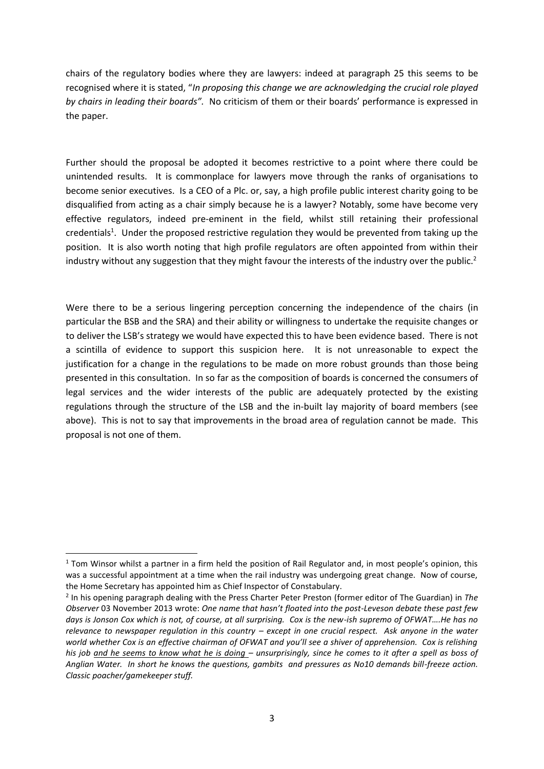chairs of the regulatory bodies where they are lawyers: indeed at paragraph 25 this seems to be recognised where it is stated, "*In proposing this change we are acknowledging the crucial role played by chairs in leading their boards".* No criticism of them or their boards' performance is expressed in the paper.

Further should the proposal be adopted it becomes restrictive to a point where there could be unintended results. It is commonplace for lawyers move through the ranks of organisations to become senior executives. Is a CEO of a Plc. or, say, a high profile public interest charity going to be disqualified from acting as a chair simply because he is a lawyer? Notably, some have become very effective regulators, indeed pre-eminent in the field, whilst still retaining their professional credentials<sup>1</sup>. Under the proposed restrictive regulation they would be prevented from taking up the position. It is also worth noting that high profile regulators are often appointed from within their industry without any suggestion that they might favour the interests of the industry over the public.<sup>2</sup>

Were there to be a serious lingering perception concerning the independence of the chairs (in particular the BSB and the SRA) and their ability or willingness to undertake the requisite changes or to deliver the LSB's strategy we would have expected this to have been evidence based. There is not a scintilla of evidence to support this suspicion here. It is not unreasonable to expect the justification for a change in the regulations to be made on more robust grounds than those being presented in this consultation. In so far as the composition of boards is concerned the consumers of legal services and the wider interests of the public are adequately protected by the existing regulations through the structure of the LSB and the in-built lay majority of board members (see above). This is not to say that improvements in the broad area of regulation cannot be made. This proposal is not one of them.

1

<sup>&</sup>lt;sup>1</sup> Tom Winsor whilst a partner in a firm held the position of Rail Regulator and, in most people's opinion, this was a successful appointment at a time when the rail industry was undergoing great change. Now of course, the Home Secretary has appointed him as Chief Inspector of Constabulary.

<sup>2</sup> In his opening paragraph dealing with the Press Charter Peter Preston (former editor of The Guardian) in *The Observer* 03 November 2013 wrote: *One name that hasn't floated into the post-Leveson debate these past few days is Jonson Cox which is not, of course, at all surprising. Cox is the new-ish supremo of OFWAT….He has no relevance to newspaper regulation in this country – except in one crucial respect. Ask anyone in the water world whether Cox is an effective chairman of OFWAT and you'll see a shiver of apprehension. Cox is relishing his job and he seems to know what he is doing – unsurprisingly, since he comes to it after a spell as boss of Anglian Water. In short he knows the questions, gambits and pressures as No10 demands bill-freeze action. Classic poacher/gamekeeper stuff.*